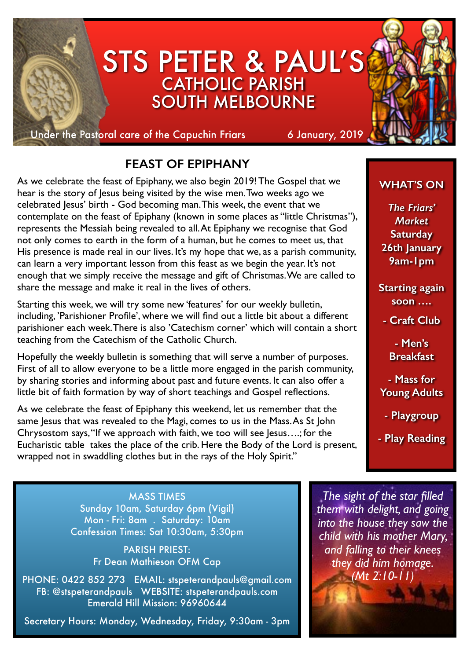

# **FEAST OF EPIPHANY**

As we celebrate the feast of Epiphany, we also begin 2019! The Gospel that we hear is the story of Jesus being visited by the wise men. Two weeks ago we celebrated Jesus' birth - God becoming man. This week, the event that we contemplate on the feast of Epiphany (known in some places as "little Christmas"), represents the Messiah being revealed to all. At Epiphany we recognise that God not only comes to earth in the form of a human, but he comes to meet us, that His presence is made real in our lives. It's my hope that we, as a parish community, can learn a very important lesson from this feast as we begin the year. It's not enough that we simply receive the message and gift of Christmas. We are called to share the message and make it real in the lives of others.

Starting this week, we will try some new 'features' for our weekly bulletin, including, 'Parishioner Profile', where we will find out a little bit about a different parishioner each week. There is also 'Catechism corner' which will contain a short teaching from the Catechism of the Catholic Church.

Hopefully the weekly bulletin is something that will serve a number of purposes. First of all to allow everyone to be a little more engaged in the parish community, by sharing stories and informing about past and future events. It can also offer a little bit of faith formation by way of short teachings and Gospel reflections.

As we celebrate the feast of Epiphany this weekend, let us remember that the same Jesus that was revealed to the Magi, comes to us in the Mass. As St John Chrysostom says, "If we approach with faith, we too will see Jesus….; for the Eucharistic table takes the place of the crib. Here the Body of the Lord is present, wrapped not in swaddling clothes but in the rays of the Holy Spirit."

### **WHAT'S ON**

*The Friars' Market* **Saturday 26th January 9am-1pm**

**Starting again soon ….** 

**- Craft Club** 

**- Men's Breakfast**

**- Mass for Young Adults** 

**- Playgroup** 

**- Play Reading** 

MASS TIMES Sunday 10am, Saturday 6pm (Vigil) Mon - Fri: 8am . Saturday: 10am Confession Times: Sat 10:30am, 5:30pm

> PARISH PRIEST: Fr Dean Mathieson OFM Cap

PHONE: 0422 852 273 EMAIL: stspeterandpauls@gmail.com FB: @stspeterandpauls WEBSITE: stspeterandpauls.com Emerald Hill Mission: 96960644

Secretary Hours: Monday, Wednesday, Friday, 9:30am - 3pm

*The sight of the star filled them with delight, and going into the house they saw the child with his mother Mary, and falling to their knees they did him homage. (Mt 2:10-11)*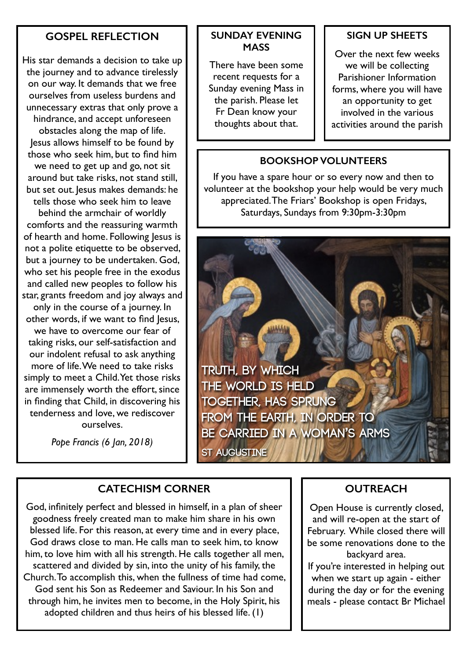#### **GOSPEL REFLECTION**

His star demands a decision to take up the journey and to advance tirelessly on our way. It demands that we free ourselves from useless burdens and unnecessary extras that only prove a hindrance, and accept unforeseen obstacles along the map of life. Jesus allows himself to be found by those who seek him, but to find him we need to get up and go, not sit around but take risks, not stand still, but set out. Jesus makes demands: he tells those who seek him to leave behind the armchair of worldly comforts and the reassuring warmth of hearth and home. Following lesus is not a polite etiquette to be observed, but a journey to be undertaken. God, who set his people free in the exodus and called new peoples to follow his

star, grants freedom and joy always and only in the course of a journey. In other words, if we want to find Jesus, we have to overcome our fear of taking risks, our self-satisfaction and our indolent refusal to ask anything more of life. We need to take risks simply to meet a Child. Yet those risks are immensely worth the effort, since in finding that Child, in discovering his tenderness and love, we rediscover ourselves.

*Pope Francis (6 Jan, 2018)*

#### **SUNDAY EVENING MASS**

There have been some recent requests for a Sunday evening Mass in the parish. Please let Fr Dean know your thoughts about that.

#### **SIGN UP SHEETS**

Over the next few weeks we will be collecting Parishioner Information forms, where you will have an opportunity to get involved in the various activities around the parish

#### **BOOKSHOP VOLUNTEERS**

If you have a spare hour or so every now and then to volunteer at the bookshop your help would be very much appreciated. The Friars' Bookshop is open Fridays, Saturdays, Sundays from 9:30pm-3:30pm

**Truth, by which the world is held together, has sprung from the earth, in order to be carried in a woman's arms**

**St Augustine**

#### **CATECHISM CORNER**

God, infinitely perfect and blessed in himself, in a plan of sheer goodness freely created man to make him share in his own blessed life. For this reason, at every time and in every place, God draws close to man. He calls man to seek him, to know him, to love him with all his strength. He calls together all men, scattered and divided by sin, into the unity of his family, the Church. To accomplish this, when the fullness of time had come, God sent his Son as Redeemer and Saviour. In his Son and through him, he invites men to become, in the Holy Spirit, his adopted children and thus heirs of his blessed life. (1)

#### **OUTREACH**

Open House is currently closed, and will re-open at the start of February. While closed there will be some renovations done to the backyard area.

If you're interested in helping out when we start up again - either during the day or for the evening meals - please contact Br Michael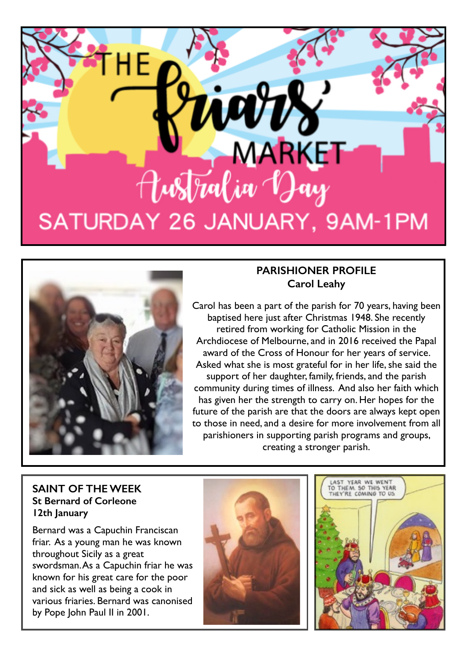



## **PARISHIONER PROFILE Carol Leahy**

Carol has been a part of the parish for 70 years, having been baptised here just after Christmas 1948. She recently retired from working for Catholic Mission in the Archdiocese of Melbourne, and in 2016 received the Papal award of the Cross of Honour for her years of service. Asked what she is most grateful for in her life, she said the support of her daughter, family, friends, and the parish community during times of illness. And also her faith which has given her the strength to carry on. Her hopes for the future of the parish are that the doors are always kept open to those in need, and a desire for more involvement from all parishioners in supporting parish programs and groups, creating a stronger parish.

#### **SAINT OF THE WEEK St Bernard of Corleone 12th January**

Bernard was a Capuchin Franciscan friar. As a young man he was known throughout Sicily as a great swordsman. As a Capuchin friar he was known for his great care for the poor and sick as well as being a cook in various friaries. Bernard was canonised by Pope John Paul II in 2001.